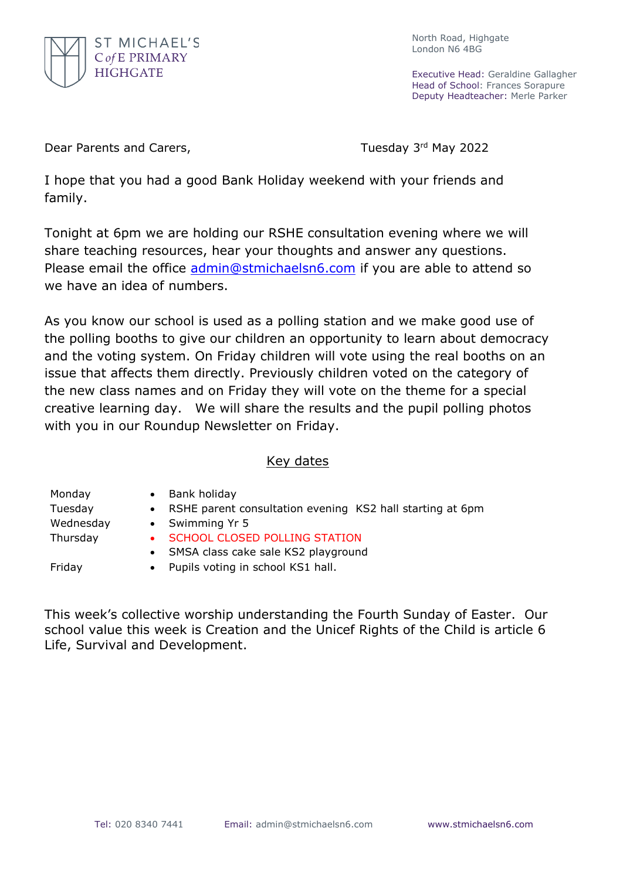

North Road, Highgate London N6 4BG

Executive Head: Geraldine Gallagher Head of School: Frances Sorapure Deputy Headteacher: Merle Parker

Dear Parents and Carers, Tuesday 3rd May 2022

I hope that you had a good Bank Holiday weekend with your friends and family.

Tonight at 6pm we are holding our RSHE consultation evening where we will share teaching resources, hear your thoughts and answer any questions. Please email the office [admin@stmichaelsn6.com](mailto:admin@stmichaelsn6.com) if you are able to attend so we have an idea of numbers.

As you know our school is used as a polling station and we make good use of the polling booths to give our children an opportunity to learn about democracy and the voting system. On Friday children will vote using the real booths on an issue that affects them directly. Previously children voted on the category of the new class names and on Friday they will vote on the theme for a special creative learning day. We will share the results and the pupil polling photos with you in our Roundup Newsletter on Friday.

## Key dates

Monday • Bank holiday Tuesday • RSHE parent consultation evening KS2 hall starting at 6pm Wednesday • Swimming Yr 5 Thursday • SCHOOL CLOSED POLLING STATION SMSA class cake sale KS2 playground

- 
- 
- Friday Pupils voting in school KS1 hall.

This week's collective worship understanding the Fourth Sunday of Easter. Our school value this week is Creation and the Unicef Rights of the Child is article 6 Life, Survival and Development.